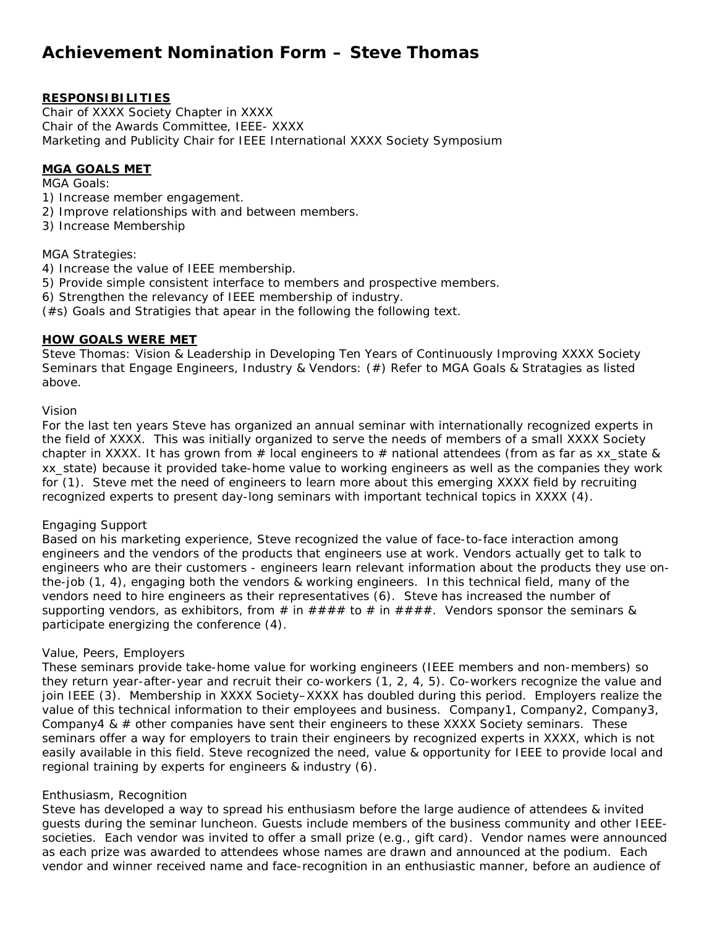# **Achievement Nomination Form – Steve Thomas**

# **RESPONSIBILITIES**

Chair of XXXX Society Chapter in XXXX Chair of the Awards Committee, IEEE- XXXX Marketing and Publicity Chair for IEEE International XXXX Society Symposium

## **MGA GOALS MET**

MGA Goals:

- 1) Increase member engagement.
- 2) Improve relationships with and between members.
- 3) Increase Membership

## MGA Strategies:

- 4) Increase the value of IEEE membership.
- 5) Provide simple consistent interface to members and prospective members.
- 6) Strengthen the relevancy of IEEE membership of industry.
- (#s) Goals and Stratigies that apear in the following the following text.

## **HOW GOALS WERE MET**

Steve Thomas: Vision & Leadership in Developing Ten Years of Continuously Improving XXXX Society Seminars that Engage Engineers, Industry & Vendors: (#) Refer to MGA Goals & Stratagies as listed above.

#### Vision

For the last ten years Steve has organized an annual seminar with internationally recognized experts in the field of XXXX. This was initially organized to serve the needs of members of a small XXXX Society chapter in XXXX. It has grown from # local engineers to # national attendees (from as far as xx state & xx\_state) because it provided take-home value to working engineers as well as the companies they work for (1). Steve met the need of engineers to learn more about this emerging XXXX field by recruiting recognized experts to present day-long seminars with important technical topics in XXXX (4).

## Engaging Support

Based on his marketing experience, Steve recognized the value of face-to-face interaction among engineers and the vendors of the products that engineers use at work. Vendors actually get to talk to engineers who are their customers - engineers learn relevant information about the products they use onthe-job (1, 4), engaging both the vendors & working engineers. In this technical field, many of the vendors need to hire engineers as their representatives (6). Steve has increased the number of supporting vendors, as exhibitors, from # in  $\# \# \# \#$  to # in  $\# \# \# \#$ . Vendors sponsor the seminars & participate energizing the conference (4).

#### Value, Peers, Employers

These seminars provide take-home value for working engineers (IEEE members and non-members) so they return year-after-year and recruit their co-workers (1, 2, 4, 5). Co-workers recognize the value and join IEEE (3). Membership in XXXX Society–XXXX has doubled during this period. Employers realize the value of this technical information to their employees and business. Company1, Company2, Company3, Company4 &  $\#$  other companies have sent their engineers to these XXXX Society seminars. These seminars offer a way for employers to train their engineers by recognized experts in XXXX, which is not easily available in this field. Steve recognized the need, value & opportunity for IEEE to provide local and regional training by experts for engineers & industry (6).

#### Enthusiasm, Recognition

Steve has developed a way to spread his enthusiasm before the large audience of attendees & invited guests during the seminar luncheon. Guests include members of the business community and other IEEEsocieties. Each vendor was invited to offer a small prize (e.g., gift card). Vendor names were announced as each prize was awarded to attendees whose names are drawn and announced at the podium. Each vendor and winner received name and face-recognition in an enthusiastic manner, before an audience of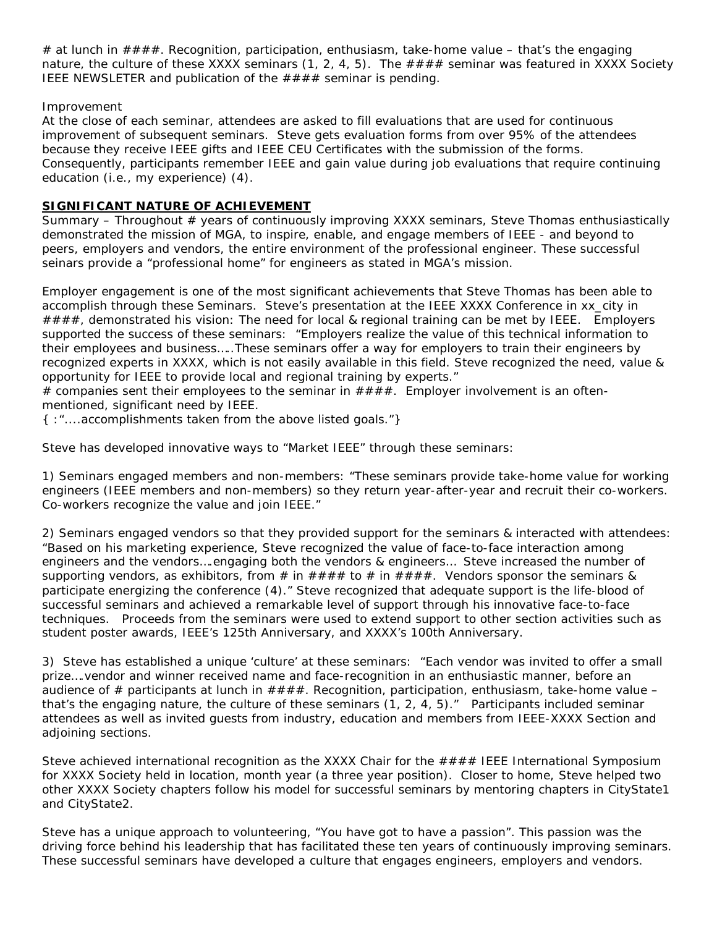# at lunch in  $\# \# \#$ . Recognition, participation, enthusiasm, take-home value – that's the engaging nature, the culture of these XXXX seminars  $(1, 2, 4, 5)$ . The  $\# \# \#$  seminar was featured in XXXX Society IEEE NEWSLETER and publication of the  $\# \# \# \#$  seminar is pending.

## Improvement

At the close of each seminar, attendees are asked to fill evaluations that are used for continuous improvement of subsequent seminars. Steve gets evaluation forms from over 95% of the attendees because they receive IEEE gifts and IEEE CEU Certificates with the submission of the forms. Consequently, participants remember IEEE and gain value during job evaluations that require continuing education (i.e., my experience) (4).

# **SIGNIFICANT NATURE OF ACHIEVEMENT**

Summary – Throughout # years of continuously improving XXXX seminars, Steve Thomas enthusiastically demonstrated the mission of MGA, to inspire, enable, and engage members of IEEE - and beyond to peers, employers and vendors, the entire environment of the professional engineer. These successful seinars provide a "professional home" for engineers as stated in MGA's mission.

Employer engagement is one of the most significant achievements that Steve Thomas has been able to accomplish through these Seminars. Steve's presentation at the IEEE XXXX Conference in xx\_city in  $\# \# \# \#$ , demonstrated his vision: The need for local & regional training can be met by IEEE. Employers supported the success of these seminars: "Employers realize the value of this technical information to their employees and business…..These seminars offer a way for employers to train their engineers by recognized experts in XXXX, which is not easily available in this field. Steve recognized the need, value & opportunity for IEEE to provide local and regional training by experts."

# companies sent their employees to the seminar in  $\# \# \# \#$ . Employer involvement is an oftenmentioned, significant need by IEEE.

{ :"....accomplishments taken from the above listed goals."}

Steve has developed innovative ways to "Market IEEE" through these seminars:

1) Seminars engaged members and non-members: "These seminars provide take-home value for working engineers (IEEE members and non-members) so they return year-after-year and recruit their co-workers. Co-workers recognize the value and join IEEE."

2) Seminars engaged vendors so that they provided support for the seminars & interacted with attendees: "Based on his marketing experience, Steve recognized the value of face-to-face interaction among engineers and the vendors….engaging both the vendors & engineers… Steve increased the number of supporting vendors, as exhibitors, from # in  $\# \# \# \#$  to # in  $\# \# \# \#$ . Vendors sponsor the seminars & participate energizing the conference (4)." Steve recognized that adequate support is the life-blood of successful seminars and achieved a remarkable level of support through his innovative face-to-face techniques. Proceeds from the seminars were used to extend support to other section activities such as student poster awards, IEEE's 125th Anniversary, and XXXX's 100th Anniversary.

3) Steve has established a unique 'culture' at these seminars: "Each vendor was invited to offer a small prize….vendor and winner received name and face-recognition in an enthusiastic manner, before an audience of # participants at lunch in  $\# \# \# \#$ . Recognition, participation, enthusiasm, take-home value – that's the engaging nature, the culture of these seminars (1, 2, 4, 5)." Participants included seminar attendees as well as invited guests from industry, education and members from IEEE-XXXX Section and adjoining sections.

Steve achieved international recognition as the XXXX Chair for the  $\# \# \#$  IEEE International Symposium for XXXX Society held in location, month year (a three year position). Closer to home, Steve helped two other XXXX Society chapters follow his model for successful seminars by mentoring chapters in CityState1 and CityState2.

Steve has a unique approach to volunteering, "You have got to have a passion". This passion was the driving force behind his leadership that has facilitated these ten years of continuously improving seminars. These successful seminars have developed a culture that engages engineers, employers and vendors.